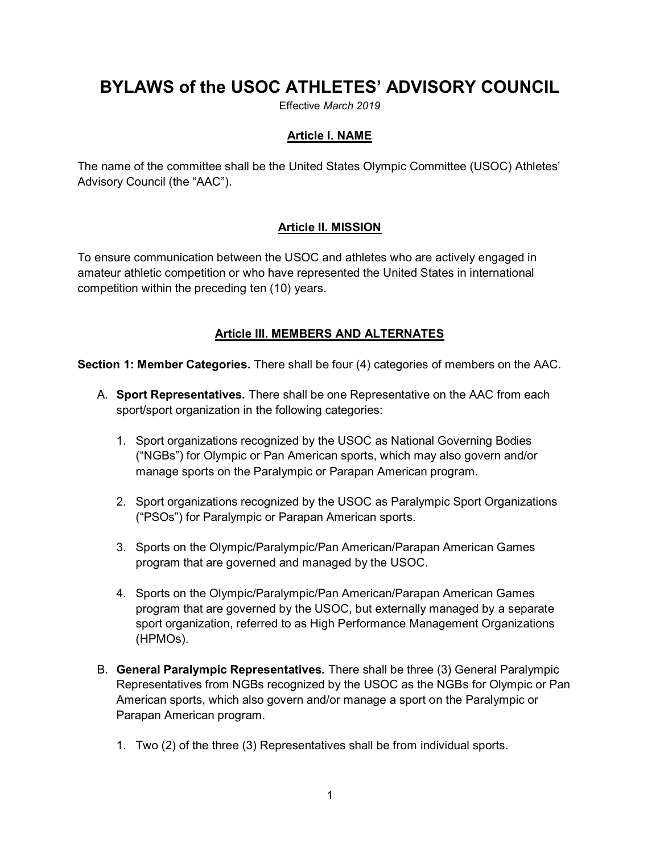# **BYLAWS of the USOC ATHLETES' ADVISORY COUNCIL**

Effective *March 2019*

#### **Article I. NAME**

The name of the committee shall be the United States Olympic Committee (USOC) Athletes' Advisory Council (the "AAC").

#### **Article II. MISSION**

To ensure communication between the USOC and athletes who are actively engaged in amateur athletic competition or who have represented the United States in international competition within the preceding ten (10) years.

#### **Article III. MEMBERS AND ALTERNATES**

**Section 1: Member Categories.** There shall be four (4) categories of members on the AAC.

- A. **Sport Representatives.** There shall be one Representative on the AAC from each sport/sport organization in the following categories:
	- 1. Sport organizations recognized by the USOC as National Governing Bodies ("NGBs") for Olympic or Pan American sports, which may also govern and/or manage sports on the Paralympic or Parapan American program.
	- 2. Sport organizations recognized by the USOC as Paralympic Sport Organizations ("PSOs") for Paralympic or Parapan American sports.
	- 3. Sports on the Olympic/Paralympic/Pan American/Parapan American Games program that are governed and managed by the USOC.
	- 4. Sports on the Olympic/Paralympic/Pan American/Parapan American Games program that are governed by the USOC, but externally managed by a separate sport organization, referred to as High Performance Management Organizations (HPMOs).
- B. **General Paralympic Representatives.** There shall be three (3) General Paralympic Representatives from NGBs recognized by the USOC as the NGBs for Olympic or Pan American sports, which also govern and/or manage a sport on the Paralympic or Parapan American program.
	- 1. Two (2) of the three (3) Representatives shall be from individual sports.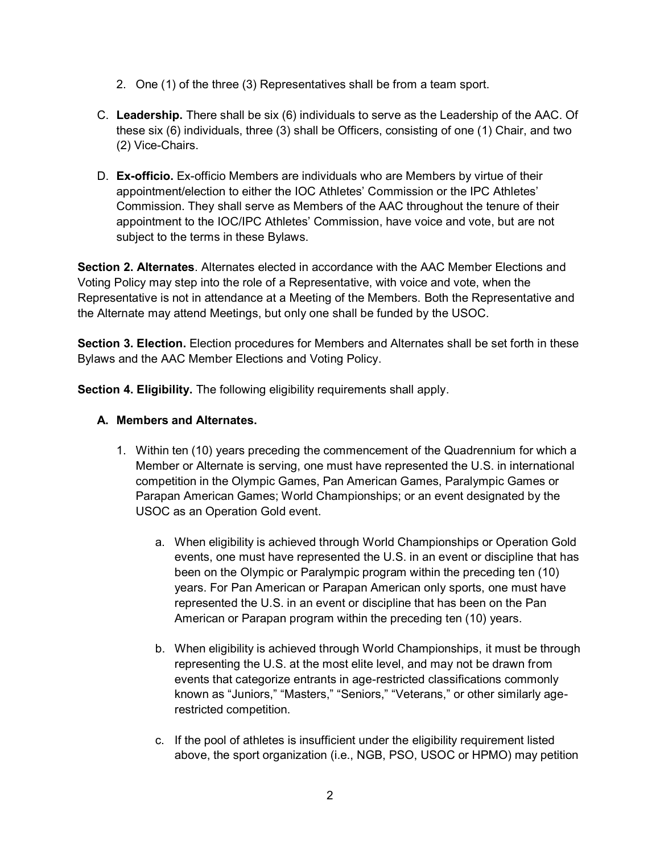- 2. One (1) of the three (3) Representatives shall be from a team sport.
- C. **Leadership.** There shall be six (6) individuals to serve as the Leadership of the AAC. Of these six (6) individuals, three (3) shall be Officers, consisting of one (1) Chair, and two (2) Vice-Chairs.
- D. **Ex-officio.** Ex-officio Members are individuals who are Members by virtue of their appointment/election to either the IOC Athletes' Commission or the IPC Athletes' Commission. They shall serve as Members of the AAC throughout the tenure of their appointment to the IOC/IPC Athletes' Commission, have voice and vote, but are not subject to the terms in these Bylaws.

**Section 2. Alternates**. Alternates elected in accordance with the AAC Member Elections and Voting Policy may step into the role of a Representative, with voice and vote, when the Representative is not in attendance at a Meeting of the Members. Both the Representative and the Alternate may attend Meetings, but only one shall be funded by the USOC.

**Section 3. Election.** Election procedures for Members and Alternates shall be set forth in these Bylaws and the AAC Member Elections and Voting Policy.

**Section 4. Eligibility.** The following eligibility requirements shall apply.

## **A. Members and Alternates.**

- 1. Within ten (10) years preceding the commencement of the Quadrennium for which a Member or Alternate is serving, one must have represented the U.S. in international competition in the Olympic Games, Pan American Games, Paralympic Games or Parapan American Games; World Championships; or an event designated by the USOC as an Operation Gold event.
	- a. When eligibility is achieved through World Championships or Operation Gold events, one must have represented the U.S. in an event or discipline that has been on the Olympic or Paralympic program within the preceding ten (10) years. For Pan American or Parapan American only sports, one must have represented the U.S. in an event or discipline that has been on the Pan American or Parapan program within the preceding ten (10) years.
	- b. When eligibility is achieved through World Championships, it must be through representing the U.S. at the most elite level, and may not be drawn from events that categorize entrants in age-restricted classifications commonly known as "Juniors," "Masters," "Seniors," "Veterans," or other similarly agerestricted competition.
	- c. If the pool of athletes is insufficient under the eligibility requirement listed above, the sport organization (i.e., NGB, PSO, USOC or HPMO) may petition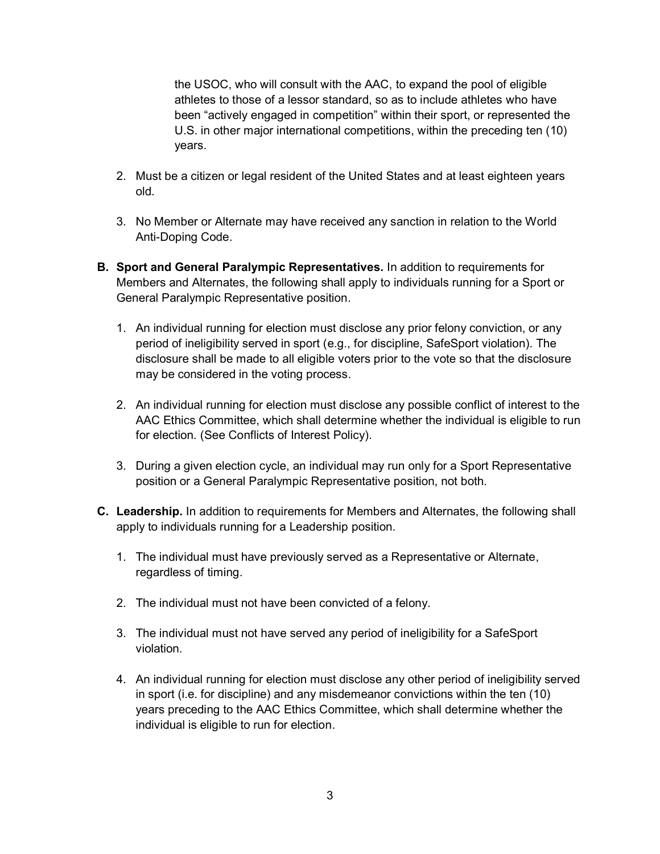the USOC, who will consult with the AAC, to expand the pool of eligible athletes to those of a lessor standard, so as to include athletes who have been "actively engaged in competition" within their sport, or represented the U.S. in other major international competitions, within the preceding ten (10) years.

- 2. Must be a citizen or legal resident of the United States and at least eighteen years old.
- 3. No Member or Alternate may have received any sanction in relation to the World Anti-Doping Code.
- **B. Sport and General Paralympic Representatives.** In addition to requirements for Members and Alternates, the following shall apply to individuals running for a Sport or General Paralympic Representative position.
	- 1. An individual running for election must disclose any prior felony conviction, or any period of ineligibility served in sport (e.g., for discipline, SafeSport violation). The disclosure shall be made to all eligible voters prior to the vote so that the disclosure may be considered in the voting process.
	- 2. An individual running for election must disclose any possible conflict of interest to the AAC Ethics Committee, which shall determine whether the individual is eligible to run for election. (See Conflicts of Interest Policy).
	- 3. During a given election cycle, an individual may run only for a Sport Representative position or a General Paralympic Representative position, not both.
- **C. Leadership.** In addition to requirements for Members and Alternates, the following shall apply to individuals running for a Leadership position.
	- 1. The individual must have previously served as a Representative or Alternate, regardless of timing.
	- 2. The individual must not have been convicted of a felony.
	- 3. The individual must not have served any period of ineligibility for a SafeSport violation.
	- 4. An individual running for election must disclose any other period of ineligibility served in sport (i.e. for discipline) and any misdemeanor convictions within the ten (10) years preceding to the AAC Ethics Committee, which shall determine whether the individual is eligible to run for election.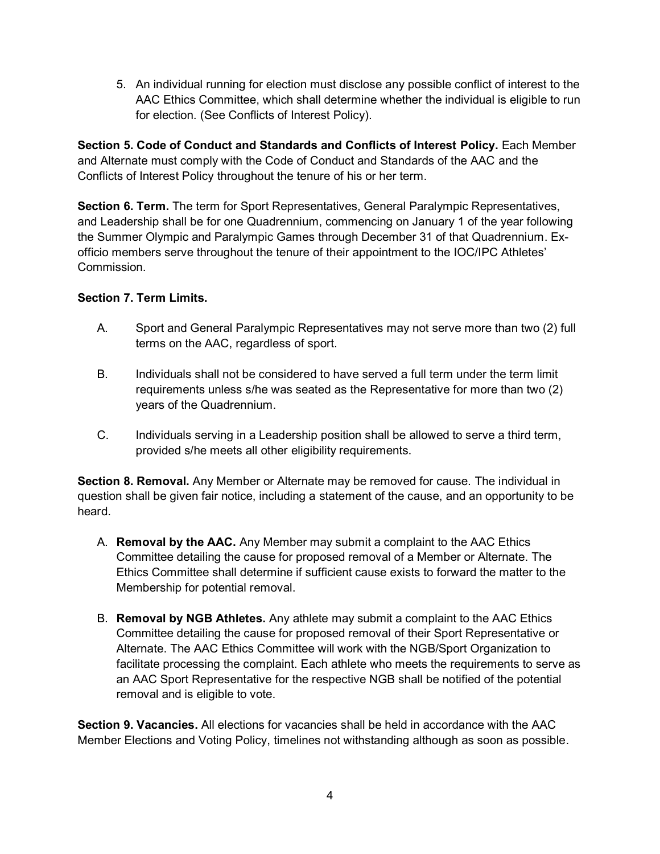5. An individual running for election must disclose any possible conflict of interest to the AAC Ethics Committee, which shall determine whether the individual is eligible to run for election. (See Conflicts of Interest Policy).

**Section 5. Code of Conduct and Standards and Conflicts of Interest Policy.** Each Member and Alternate must comply with the Code of Conduct and Standards of the AAC and the Conflicts of Interest Policy throughout the tenure of his or her term.

**Section 6. Term.** The term for Sport Representatives, General Paralympic Representatives, and Leadership shall be for one Quadrennium, commencing on January 1 of the year following the Summer Olympic and Paralympic Games through December 31 of that Quadrennium. Exofficio members serve throughout the tenure of their appointment to the IOC/IPC Athletes' Commission.

## **Section 7. Term Limits.**

- A. Sport and General Paralympic Representatives may not serve more than two (2) full terms on the AAC, regardless of sport.
- B. Individuals shall not be considered to have served a full term under the term limit requirements unless s/he was seated as the Representative for more than two (2) years of the Quadrennium.
- C. Individuals serving in a Leadership position shall be allowed to serve a third term, provided s/he meets all other eligibility requirements.

**Section 8. Removal.** Any Member or Alternate may be removed for cause. The individual in question shall be given fair notice, including a statement of the cause, and an opportunity to be heard.

- A. **Removal by the AAC.** Any Member may submit a complaint to the AAC Ethics Committee detailing the cause for proposed removal of a Member or Alternate. The Ethics Committee shall determine if sufficient cause exists to forward the matter to the Membership for potential removal.
- B. **Removal by NGB Athletes.** Any athlete may submit a complaint to the AAC Ethics Committee detailing the cause for proposed removal of their Sport Representative or Alternate. The AAC Ethics Committee will work with the NGB/Sport Organization to facilitate processing the complaint. Each athlete who meets the requirements to serve as an AAC Sport Representative for the respective NGB shall be notified of the potential removal and is eligible to vote.

**Section 9. Vacancies.** All elections for vacancies shall be held in accordance with the AAC Member Elections and Voting Policy, timelines not withstanding although as soon as possible.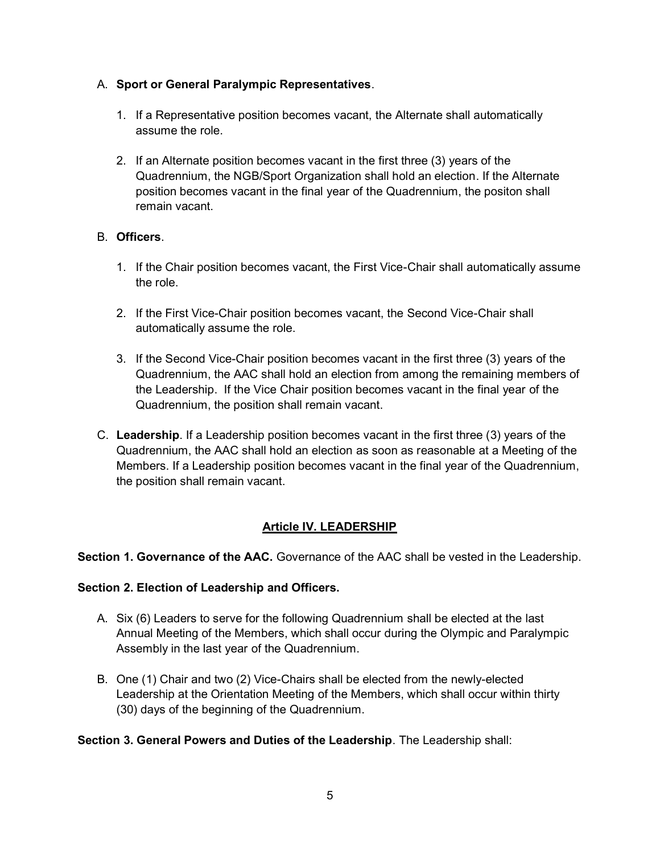## A. **Sport or General Paralympic Representatives**.

- 1. If a Representative position becomes vacant, the Alternate shall automatically assume the role.
- 2. If an Alternate position becomes vacant in the first three (3) years of the Quadrennium, the NGB/Sport Organization shall hold an election. If the Alternate position becomes vacant in the final year of the Quadrennium, the positon shall remain vacant.

## B. **Officers**.

- 1. If the Chair position becomes vacant, the First Vice-Chair shall automatically assume the role.
- 2. If the First Vice-Chair position becomes vacant, the Second Vice-Chair shall automatically assume the role.
- 3. If the Second Vice-Chair position becomes vacant in the first three (3) years of the Quadrennium, the AAC shall hold an election from among the remaining members of the Leadership. If the Vice Chair position becomes vacant in the final year of the Quadrennium, the position shall remain vacant.
- C. **Leadership**. If a Leadership position becomes vacant in the first three (3) years of the Quadrennium, the AAC shall hold an election as soon as reasonable at a Meeting of the Members. If a Leadership position becomes vacant in the final year of the Quadrennium, the position shall remain vacant.

## **Article IV. LEADERSHIP**

**Section 1. Governance of the AAC.** Governance of the AAC shall be vested in the Leadership.

#### **Section 2. Election of Leadership and Officers.**

- A. Six (6) Leaders to serve for the following Quadrennium shall be elected at the last Annual Meeting of the Members, which shall occur during the Olympic and Paralympic Assembly in the last year of the Quadrennium.
- B. One (1) Chair and two (2) Vice-Chairs shall be elected from the newly-elected Leadership at the Orientation Meeting of the Members, which shall occur within thirty (30) days of the beginning of the Quadrennium.

#### **Section 3. General Powers and Duties of the Leadership**. The Leadership shall: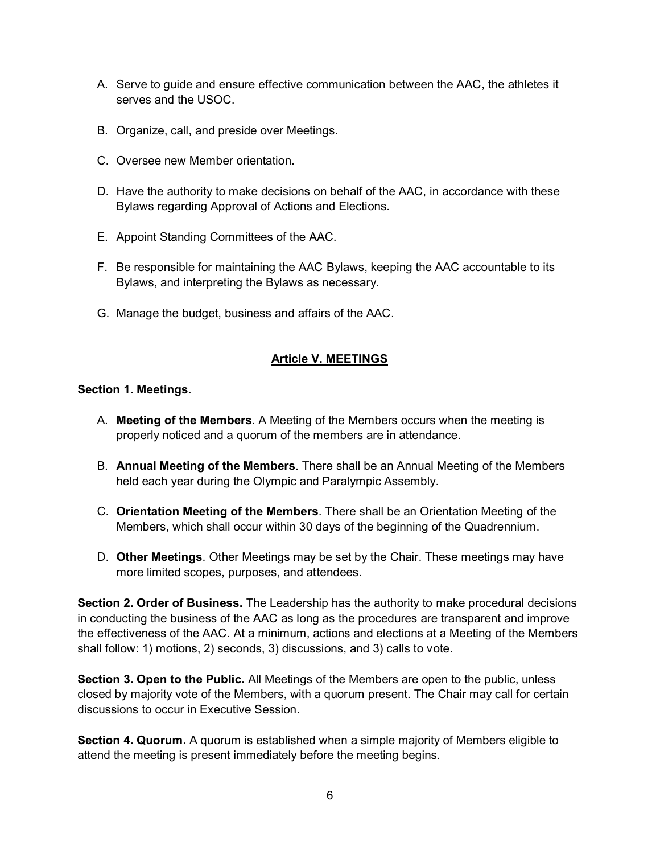- A. Serve to guide and ensure effective communication between the AAC, the athletes it serves and the USOC.
- B. Organize, call, and preside over Meetings.
- C. Oversee new Member orientation.
- D. Have the authority to make decisions on behalf of the AAC, in accordance with these Bylaws regarding Approval of Actions and Elections.
- E. Appoint Standing Committees of the AAC.
- F. Be responsible for maintaining the AAC Bylaws, keeping the AAC accountable to its Bylaws, and interpreting the Bylaws as necessary.
- G. Manage the budget, business and affairs of the AAC.

## **Article V. MEETINGS**

#### **Section 1. Meetings.**

- A. **Meeting of the Members**. A Meeting of the Members occurs when the meeting is properly noticed and a quorum of the members are in attendance.
- B. **Annual Meeting of the Members**. There shall be an Annual Meeting of the Members held each year during the Olympic and Paralympic Assembly.
- C. **Orientation Meeting of the Members**. There shall be an Orientation Meeting of the Members, which shall occur within 30 days of the beginning of the Quadrennium.
- D. **Other Meetings**. Other Meetings may be set by the Chair. These meetings may have more limited scopes, purposes, and attendees.

**Section 2. Order of Business.** The Leadership has the authority to make procedural decisions in conducting the business of the AAC as long as the procedures are transparent and improve the effectiveness of the AAC. At a minimum, actions and elections at a Meeting of the Members shall follow: 1) motions, 2) seconds, 3) discussions, and 3) calls to vote.

**Section 3. Open to the Public.** All Meetings of the Members are open to the public, unless closed by majority vote of the Members, with a quorum present. The Chair may call for certain discussions to occur in Executive Session.

**Section 4. Quorum.** A quorum is established when a simple majority of Members eligible to attend the meeting is present immediately before the meeting begins.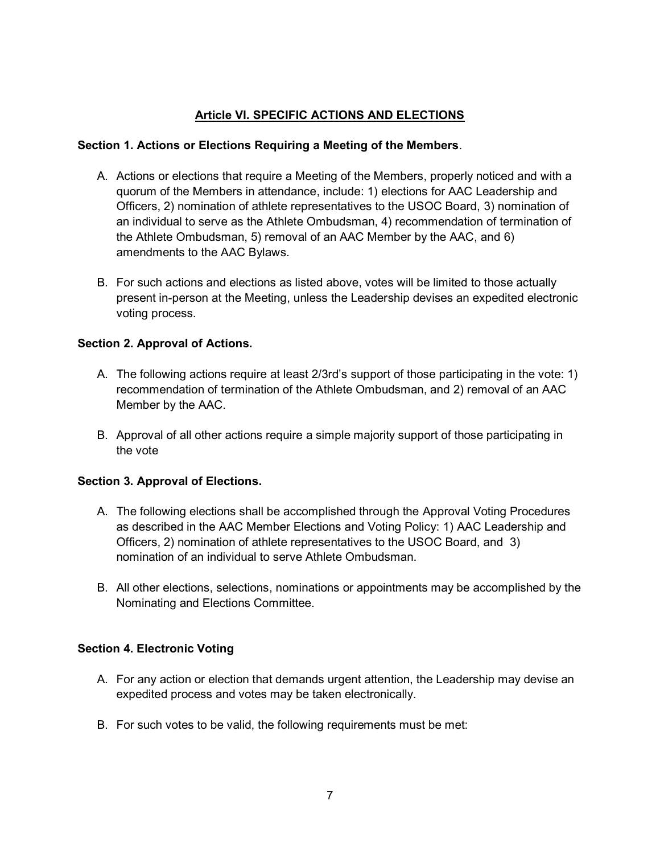## **Article VI. SPECIFIC ACTIONS AND ELECTIONS**

### **Section 1. Actions or Elections Requiring a Meeting of the Members**.

- A. Actions or elections that require a Meeting of the Members, properly noticed and with a quorum of the Members in attendance, include: 1) elections for AAC Leadership and Officers, 2) nomination of athlete representatives to the USOC Board, 3) nomination of an individual to serve as the Athlete Ombudsman, 4) recommendation of termination of the Athlete Ombudsman, 5) removal of an AAC Member by the AAC, and 6) amendments to the AAC Bylaws.
- B. For such actions and elections as listed above, votes will be limited to those actually present in-person at the Meeting, unless the Leadership devises an expedited electronic voting process.

## **Section 2. Approval of Actions.**

- A. The following actions require at least 2/3rd's support of those participating in the vote: 1) recommendation of termination of the Athlete Ombudsman, and 2) removal of an AAC Member by the AAC.
- B. Approval of all other actions require a simple majority support of those participating in the vote

#### **Section 3. Approval of Elections.**

- A. The following elections shall be accomplished through the Approval Voting Procedures as described in the AAC Member Elections and Voting Policy: 1) AAC Leadership and Officers, 2) nomination of athlete representatives to the USOC Board, and 3) nomination of an individual to serve Athlete Ombudsman.
- B. All other elections, selections, nominations or appointments may be accomplished by the Nominating and Elections Committee.

#### **Section 4. Electronic Voting**

- A. For any action or election that demands urgent attention, the Leadership may devise an expedited process and votes may be taken electronically.
- B. For such votes to be valid, the following requirements must be met: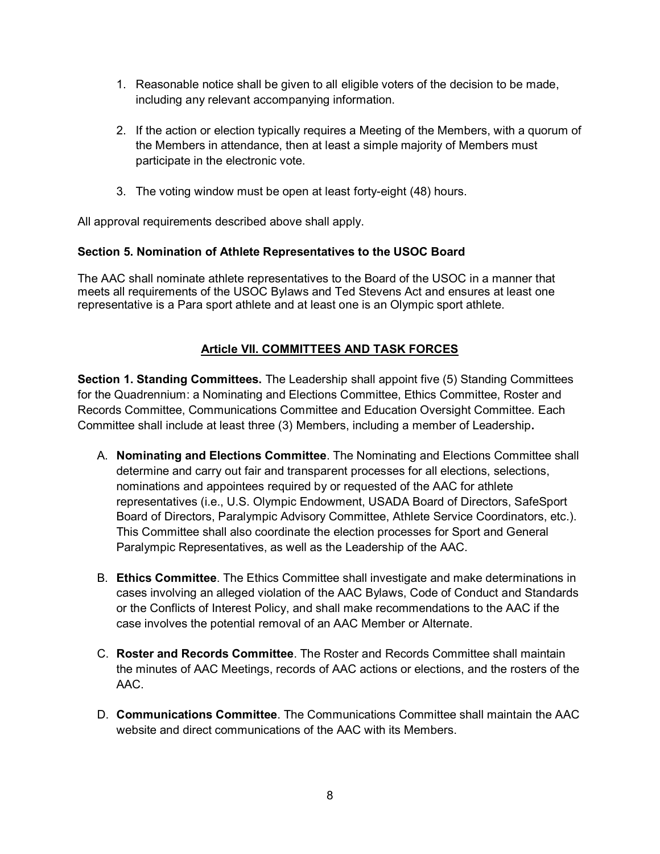- 1. Reasonable notice shall be given to all eligible voters of the decision to be made, including any relevant accompanying information.
- 2. If the action or election typically requires a Meeting of the Members, with a quorum of the Members in attendance, then at least a simple majority of Members must participate in the electronic vote.
- 3. The voting window must be open at least forty-eight (48) hours.

All approval requirements described above shall apply.

## **Section 5. Nomination of Athlete Representatives to the USOC Board**

The AAC shall nominate athlete representatives to the Board of the USOC in a manner that meets all requirements of the USOC Bylaws and Ted Stevens Act and ensures at least one representative is a Para sport athlete and at least one is an Olympic sport athlete.

## **Article VII. COMMITTEES AND TASK FORCES**

**Section 1. Standing Committees.** The Leadership shall appoint five (5) Standing Committees for the Quadrennium: a Nominating and Elections Committee, Ethics Committee, Roster and Records Committee, Communications Committee and Education Oversight Committee. Each Committee shall include at least three (3) Members, including a member of Leadership**.**

- A. **Nominating and Elections Committee**. The Nominating and Elections Committee shall determine and carry out fair and transparent processes for all elections, selections, nominations and appointees required by or requested of the AAC for athlete representatives (i.e., U.S. Olympic Endowment, USADA Board of Directors, SafeSport Board of Directors, Paralympic Advisory Committee, Athlete Service Coordinators, etc.). This Committee shall also coordinate the election processes for Sport and General Paralympic Representatives, as well as the Leadership of the AAC.
- B. **Ethics Committee**. The Ethics Committee shall investigate and make determinations in cases involving an alleged violation of the AAC Bylaws, Code of Conduct and Standards or the Conflicts of Interest Policy, and shall make recommendations to the AAC if the case involves the potential removal of an AAC Member or Alternate.
- C. **Roster and Records Committee**. The Roster and Records Committee shall maintain the minutes of AAC Meetings, records of AAC actions or elections, and the rosters of the AAC.
- D. **Communications Committee**. The Communications Committee shall maintain the AAC website and direct communications of the AAC with its Members.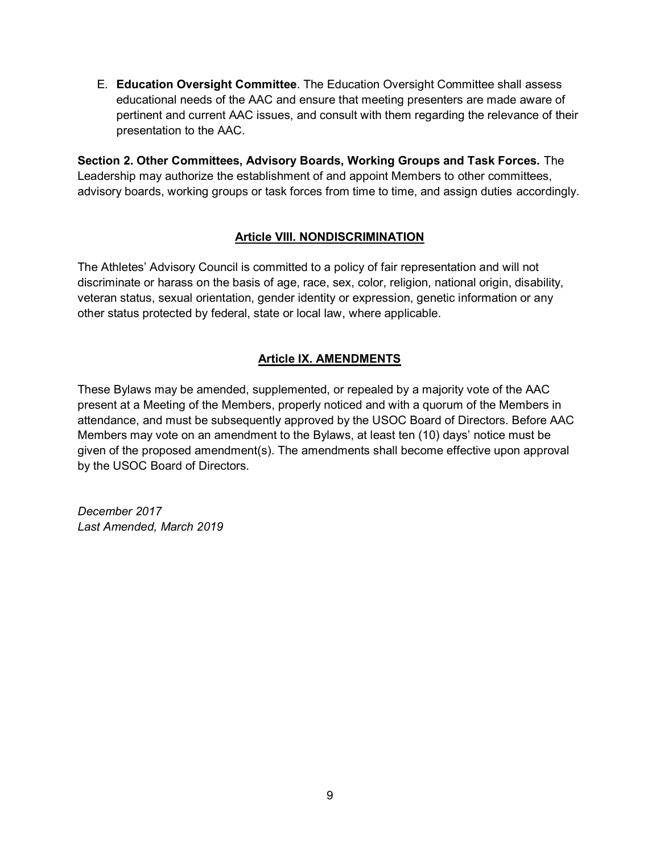E. **Education Oversight Committee**. The Education Oversight Committee shall assess educational needs of the AAC and ensure that meeting presenters are made aware of pertinent and current AAC issues, and consult with them regarding the relevance of their presentation to the AAC.

**Section 2. Other Committees, Advisory Boards, Working Groups and Task Forces.** The Leadership may authorize the establishment of and appoint Members to other committees, advisory boards, working groups or task forces from time to time, and assign duties accordingly.

## **Article VIII. NONDISCRIMINATION**

The Athletes' Advisory Council is committed to a policy of fair representation and will not discriminate or harass on the basis of age, race, sex, color, religion, national origin, disability, veteran status, sexual orientation, gender identity or expression, genetic information or any other status protected by federal, state or local law, where applicable.

## **Article IX. AMENDMENTS**

These Bylaws may be amended, supplemented, or repealed by a majority vote of the AAC present at a Meeting of the Members, properly noticed and with a quorum of the Members in attendance, and must be subsequently approved by the USOC Board of Directors. Before AAC Members may vote on an amendment to the Bylaws, at least ten (10) days' notice must be given of the proposed amendment(s). The amendments shall become effective upon approval by the USOC Board of Directors.

*December 2017 Last Amended, March 2019*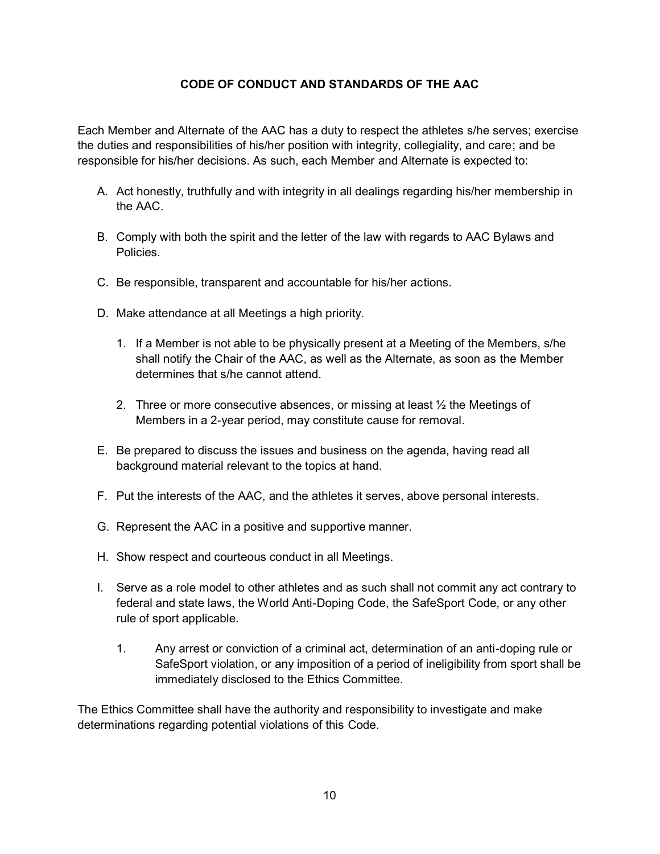## **CODE OF CONDUCT AND STANDARDS OF THE AAC**

Each Member and Alternate of the AAC has a duty to respect the athletes s/he serves; exercise the duties and responsibilities of his/her position with integrity, collegiality, and care; and be responsible for his/her decisions. As such, each Member and Alternate is expected to:

- A. Act honestly, truthfully and with integrity in all dealings regarding his/her membership in the AAC.
- B. Comply with both the spirit and the letter of the law with regards to AAC Bylaws and Policies.
- C. Be responsible, transparent and accountable for his/her actions.
- D. Make attendance at all Meetings a high priority.
	- 1. If a Member is not able to be physically present at a Meeting of the Members, s/he shall notify the Chair of the AAC, as well as the Alternate, as soon as the Member determines that s/he cannot attend.
	- 2. Three or more consecutive absences, or missing at least  $\frac{1}{2}$  the Meetings of Members in a 2-year period, may constitute cause for removal.
- E. Be prepared to discuss the issues and business on the agenda, having read all background material relevant to the topics at hand.
- F. Put the interests of the AAC, and the athletes it serves, above personal interests.
- G. Represent the AAC in a positive and supportive manner.
- H. Show respect and courteous conduct in all Meetings.
- I. Serve as a role model to other athletes and as such shall not commit any act contrary to federal and state laws, the World Anti-Doping Code, the SafeSport Code, or any other rule of sport applicable.
	- 1. Any arrest or conviction of a criminal act, determination of an anti-doping rule or SafeSport violation, or any imposition of a period of ineligibility from sport shall be immediately disclosed to the Ethics Committee.

The Ethics Committee shall have the authority and responsibility to investigate and make determinations regarding potential violations of this Code.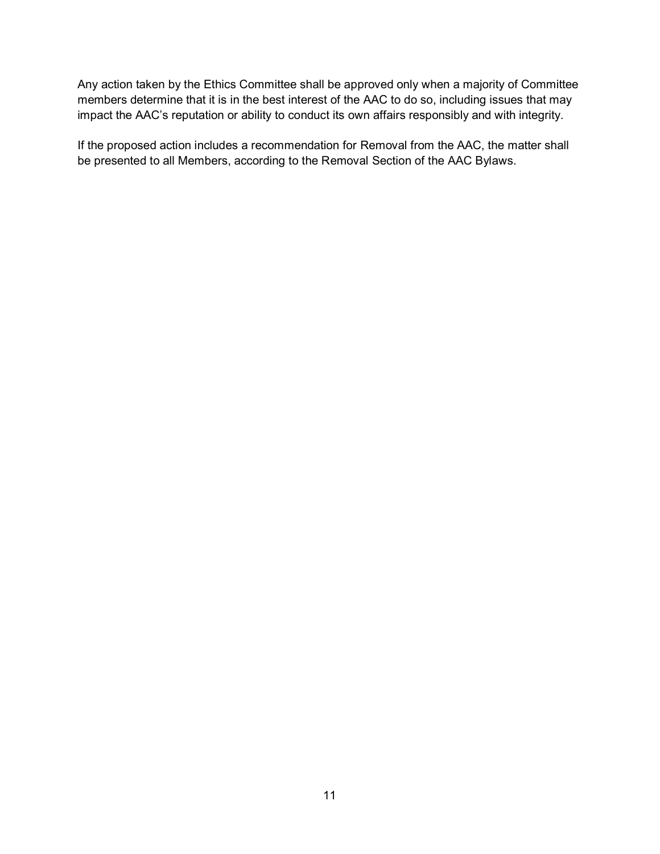Any action taken by the Ethics Committee shall be approved only when a majority of Committee members determine that it is in the best interest of the AAC to do so, including issues that may impact the AAC's reputation or ability to conduct its own affairs responsibly and with integrity.

If the proposed action includes a recommendation for Removal from the AAC, the matter shall be presented to all Members, according to the Removal Section of the AAC Bylaws.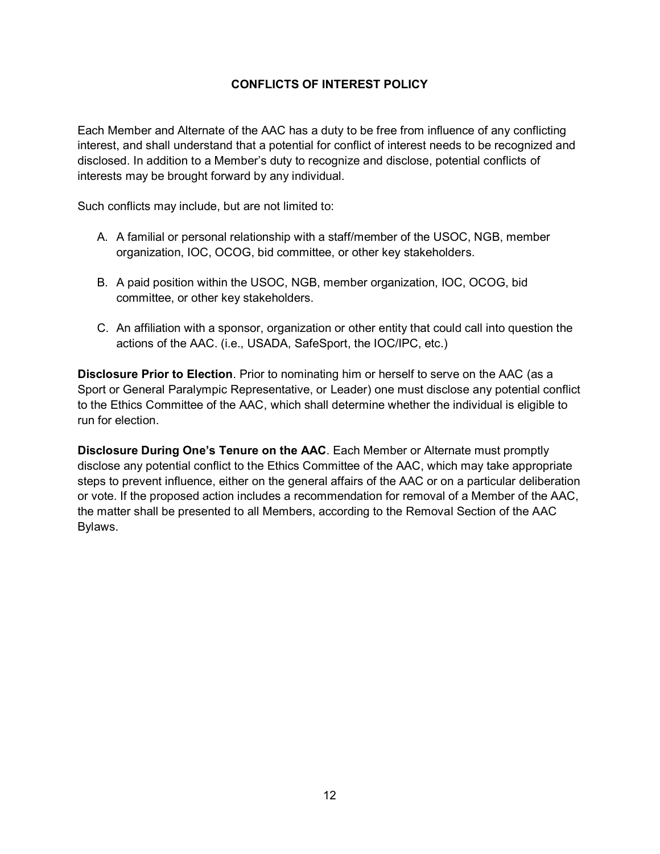### **CONFLICTS OF INTEREST POLICY**

Each Member and Alternate of the AAC has a duty to be free from influence of any conflicting interest, and shall understand that a potential for conflict of interest needs to be recognized and disclosed. In addition to a Member's duty to recognize and disclose, potential conflicts of interests may be brought forward by any individual.

Such conflicts may include, but are not limited to:

- A. A familial or personal relationship with a staff/member of the USOC, NGB, member organization, IOC, OCOG, bid committee, or other key stakeholders.
- B. A paid position within the USOC, NGB, member organization, IOC, OCOG, bid committee, or other key stakeholders.
- C. An affiliation with a sponsor, organization or other entity that could call into question the actions of the AAC. (i.e., USADA, SafeSport, the IOC/IPC, etc.)

**Disclosure Prior to Election**. Prior to nominating him or herself to serve on the AAC (as a Sport or General Paralympic Representative, or Leader) one must disclose any potential conflict to the Ethics Committee of the AAC, which shall determine whether the individual is eligible to run for election.

**Disclosure During One's Tenure on the AAC**. Each Member or Alternate must promptly disclose any potential conflict to the Ethics Committee of the AAC, which may take appropriate steps to prevent influence, either on the general affairs of the AAC or on a particular deliberation or vote. If the proposed action includes a recommendation for removal of a Member of the AAC, the matter shall be presented to all Members, according to the Removal Section of the AAC Bylaws.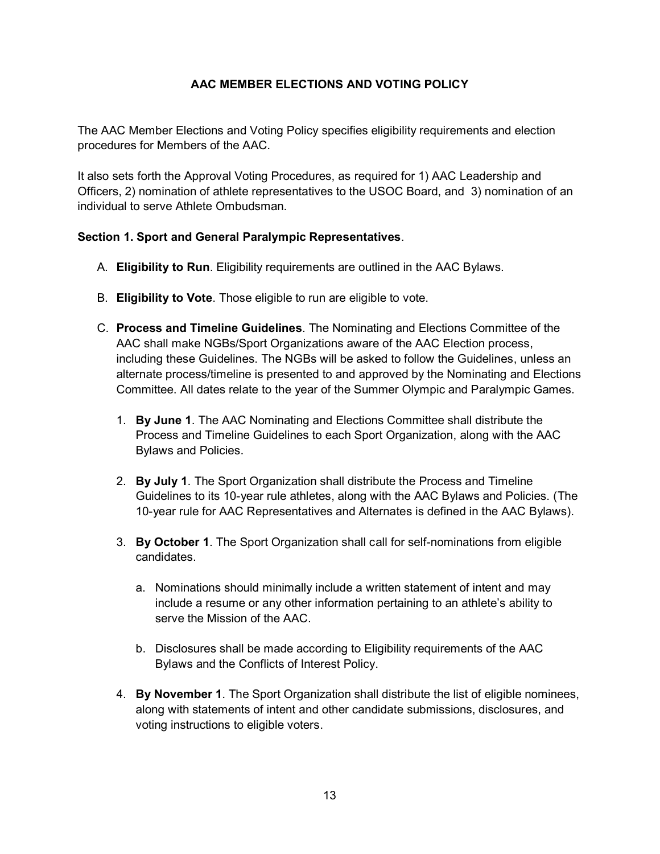## **AAC MEMBER ELECTIONS AND VOTING POLICY**

The AAC Member Elections and Voting Policy specifies eligibility requirements and election procedures for Members of the AAC.

It also sets forth the Approval Voting Procedures, as required for 1) AAC Leadership and Officers, 2) nomination of athlete representatives to the USOC Board, and 3) nomination of an individual to serve Athlete Ombudsman.

#### **Section 1. Sport and General Paralympic Representatives**.

- A. **Eligibility to Run**. Eligibility requirements are outlined in the AAC Bylaws.
- B. **Eligibility to Vote**. Those eligible to run are eligible to vote.
- C. **Process and Timeline Guidelines**. The Nominating and Elections Committee of the AAC shall make NGBs/Sport Organizations aware of the AAC Election process, including these Guidelines. The NGBs will be asked to follow the Guidelines, unless an alternate process/timeline is presented to and approved by the Nominating and Elections Committee. All dates relate to the year of the Summer Olympic and Paralympic Games.
	- 1. **By June 1**. The AAC Nominating and Elections Committee shall distribute the Process and Timeline Guidelines to each Sport Organization, along with the AAC Bylaws and Policies.
	- 2. **By July 1**. The Sport Organization shall distribute the Process and Timeline Guidelines to its 10-year rule athletes, along with the AAC Bylaws and Policies. (The 10-year rule for AAC Representatives and Alternates is defined in the AAC Bylaws).
	- 3. **By October 1**. The Sport Organization shall call for self-nominations from eligible candidates.
		- a. Nominations should minimally include a written statement of intent and may include a resume or any other information pertaining to an athlete's ability to serve the Mission of the AAC.
		- b. Disclosures shall be made according to Eligibility requirements of the AAC Bylaws and the Conflicts of Interest Policy.
	- 4. **By November 1**. The Sport Organization shall distribute the list of eligible nominees, along with statements of intent and other candidate submissions, disclosures, and voting instructions to eligible voters.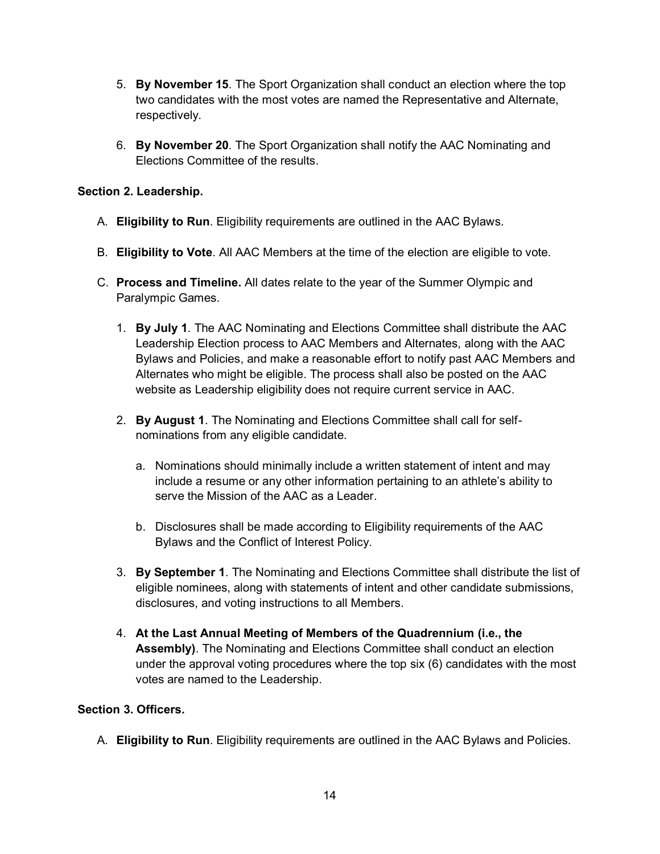- 5. **By November 15**. The Sport Organization shall conduct an election where the top two candidates with the most votes are named the Representative and Alternate, respectively.
- 6. **By November 20**. The Sport Organization shall notify the AAC Nominating and Elections Committee of the results.

### **Section 2. Leadership.**

- A. **Eligibility to Run**. Eligibility requirements are outlined in the AAC Bylaws.
- B. **Eligibility to Vote**. All AAC Members at the time of the election are eligible to vote.
- C. **Process and Timeline.** All dates relate to the year of the Summer Olympic and Paralympic Games.
	- 1. **By July 1**. The AAC Nominating and Elections Committee shall distribute the AAC Leadership Election process to AAC Members and Alternates, along with the AAC Bylaws and Policies, and make a reasonable effort to notify past AAC Members and Alternates who might be eligible. The process shall also be posted on the AAC website as Leadership eligibility does not require current service in AAC.
	- 2. **By August 1**. The Nominating and Elections Committee shall call for selfnominations from any eligible candidate.
		- a. Nominations should minimally include a written statement of intent and may include a resume or any other information pertaining to an athlete's ability to serve the Mission of the AAC as a Leader.
		- b. Disclosures shall be made according to Eligibility requirements of the AAC Bylaws and the Conflict of Interest Policy.
	- 3. **By September 1**. The Nominating and Elections Committee shall distribute the list of eligible nominees, along with statements of intent and other candidate submissions, disclosures, and voting instructions to all Members.
	- 4. **At the Last Annual Meeting of Members of the Quadrennium (i.e., the Assembly)**. The Nominating and Elections Committee shall conduct an election under the approval voting procedures where the top six (6) candidates with the most votes are named to the Leadership.

#### **Section 3. Officers.**

A. **Eligibility to Run**. Eligibility requirements are outlined in the AAC Bylaws and Policies.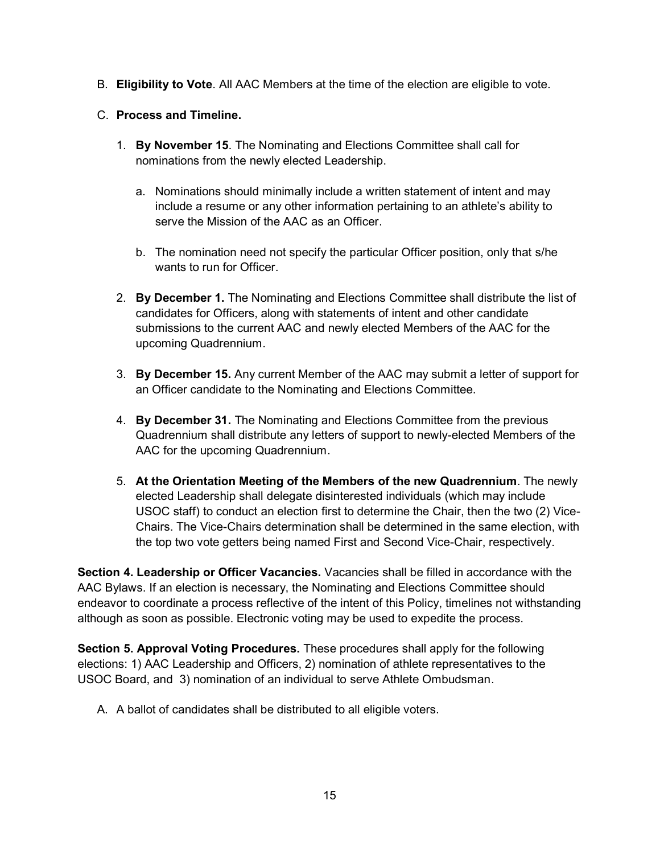B. **Eligibility to Vote**. All AAC Members at the time of the election are eligible to vote.

## C. **Process and Timeline.**

- 1. **By November 15**. The Nominating and Elections Committee shall call for nominations from the newly elected Leadership.
	- a. Nominations should minimally include a written statement of intent and may include a resume or any other information pertaining to an athlete's ability to serve the Mission of the AAC as an Officer.
	- b. The nomination need not specify the particular Officer position, only that s/he wants to run for Officer.
- 2. **By December 1.** The Nominating and Elections Committee shall distribute the list of candidates for Officers, along with statements of intent and other candidate submissions to the current AAC and newly elected Members of the AAC for the upcoming Quadrennium.
- 3. **By December 15.** Any current Member of the AAC may submit a letter of support for an Officer candidate to the Nominating and Elections Committee.
- 4. **By December 31.** The Nominating and Elections Committee from the previous Quadrennium shall distribute any letters of support to newly-elected Members of the AAC for the upcoming Quadrennium.
- 5. **At the Orientation Meeting of the Members of the new Quadrennium**. The newly elected Leadership shall delegate disinterested individuals (which may include USOC staff) to conduct an election first to determine the Chair, then the two (2) Vice-Chairs. The Vice-Chairs determination shall be determined in the same election, with the top two vote getters being named First and Second Vice-Chair, respectively.

**Section 4. Leadership or Officer Vacancies.** Vacancies shall be filled in accordance with the AAC Bylaws. If an election is necessary, the Nominating and Elections Committee should endeavor to coordinate a process reflective of the intent of this Policy, timelines not withstanding although as soon as possible. Electronic voting may be used to expedite the process.

**Section 5. Approval Voting Procedures.** These procedures shall apply for the following elections: 1) AAC Leadership and Officers, 2) nomination of athlete representatives to the USOC Board, and 3) nomination of an individual to serve Athlete Ombudsman.

A. A ballot of candidates shall be distributed to all eligible voters.